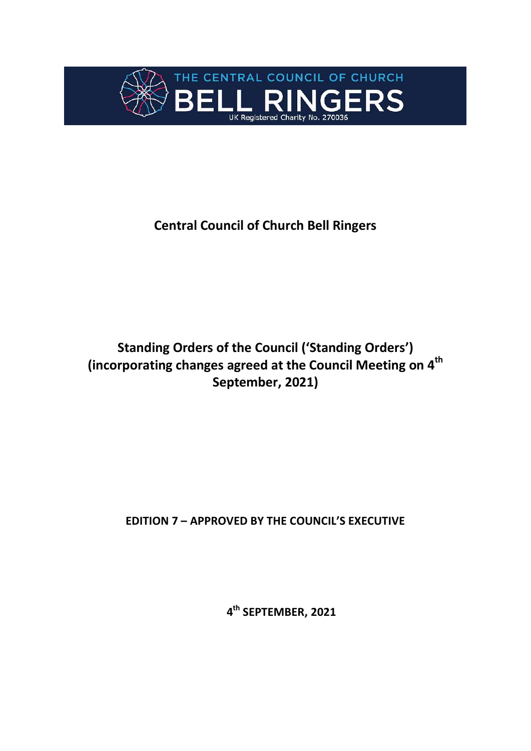

# **Central Council of Church Bell Ringers**

# **Standing Orders of the Council ('Standing Orders') (incorporating changes agreed at the Council Meeting on 4 th September, 2021)**

**EDITION 7 – APPROVED BY THE COUNCIL'S EXECUTIVE**

**4 th SEPTEMBER, 2021**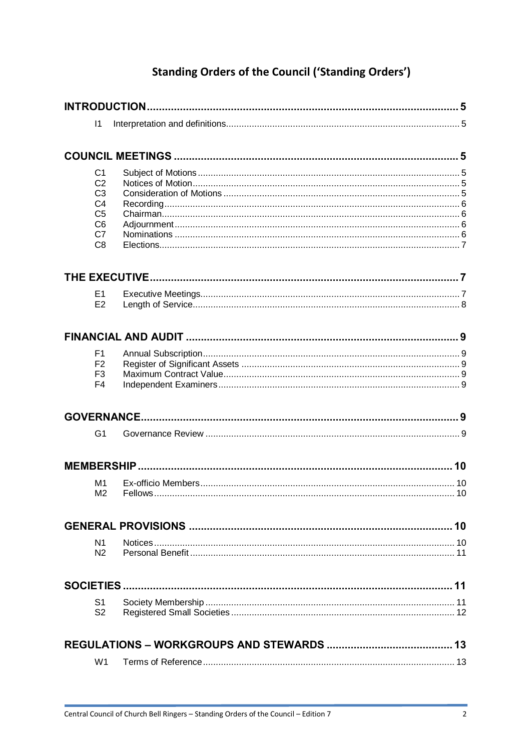# **Standing Orders of the Council ('Standing Orders')**

| $\vert$ 1                        |  |
|----------------------------------|--|
|                                  |  |
|                                  |  |
| C <sub>1</sub>                   |  |
| C <sub>2</sub>                   |  |
| C <sub>3</sub>                   |  |
| C <sub>4</sub><br>C <sub>5</sub> |  |
| C <sub>6</sub>                   |  |
| C7                               |  |
| C <sub>8</sub>                   |  |
|                                  |  |
| E <sub>1</sub>                   |  |
| E2                               |  |
|                                  |  |
|                                  |  |
| F <sub>1</sub>                   |  |
| F <sub>2</sub>                   |  |
| F <sub>3</sub><br>F <sub>4</sub> |  |
|                                  |  |
|                                  |  |
| G <sub>1</sub>                   |  |
|                                  |  |
| M1                               |  |
| M <sub>2</sub>                   |  |
|                                  |  |
|                                  |  |
| N1                               |  |
| N <sub>2</sub>                   |  |
|                                  |  |
| S1                               |  |
| S <sub>2</sub>                   |  |
|                                  |  |
|                                  |  |
| W <sub>1</sub>                   |  |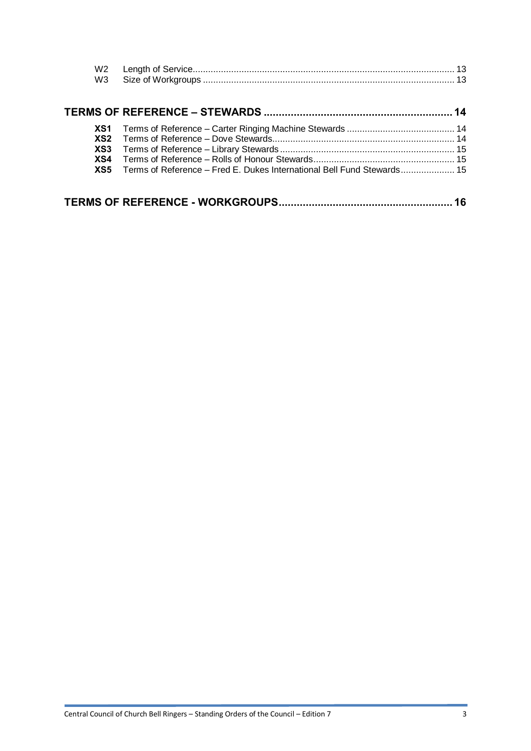| W2<br>W <sub>3</sub>                        |                                                                        |    |
|---------------------------------------------|------------------------------------------------------------------------|----|
|                                             |                                                                        |    |
| XS1<br>XS <sub>2</sub><br>XS3<br>XS4<br>XS5 | Terms of Reference - Fred E. Dukes International Bell Fund Stewards 15 |    |
|                                             |                                                                        | 16 |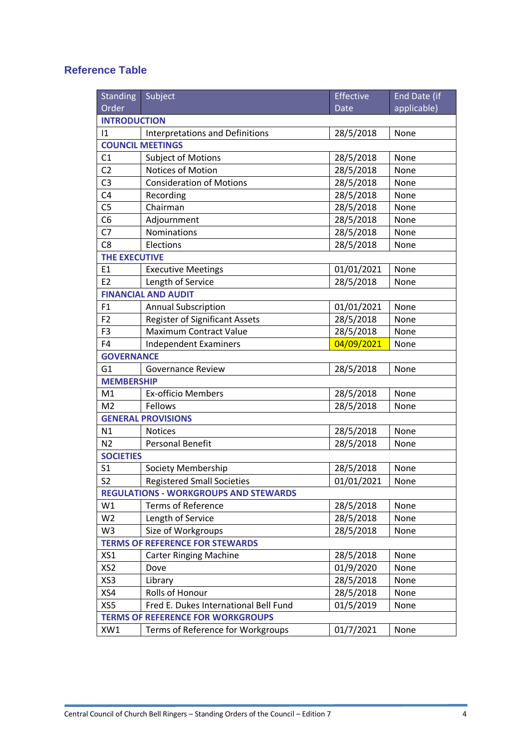## **Reference Table**

| <b>Standing</b>                              | Subject                               | Effective   | End Date (if |  |  |  |  |  |
|----------------------------------------------|---------------------------------------|-------------|--------------|--|--|--|--|--|
| Order                                        |                                       | <b>Date</b> | applicable)  |  |  |  |  |  |
| <b>INTRODUCTION</b>                          |                                       |             |              |  |  |  |  |  |
| 1                                            | Interpretations and Definitions       | 28/5/2018   | None         |  |  |  |  |  |
|                                              | <b>COUNCIL MEETINGS</b>               |             |              |  |  |  |  |  |
| C1                                           | <b>Subject of Motions</b>             | 28/5/2018   | None         |  |  |  |  |  |
| C <sub>2</sub>                               | Notices of Motion                     | 28/5/2018   | None         |  |  |  |  |  |
| C <sub>3</sub>                               | <b>Consideration of Motions</b>       | 28/5/2018   | None         |  |  |  |  |  |
| C4                                           | Recording                             | 28/5/2018   | None         |  |  |  |  |  |
| C <sub>5</sub>                               | Chairman                              | 28/5/2018   | None         |  |  |  |  |  |
| C <sub>6</sub>                               | Adjournment                           | 28/5/2018   | None         |  |  |  |  |  |
| C <sub>7</sub>                               | Nominations                           | 28/5/2018   | None         |  |  |  |  |  |
| C <sub>8</sub>                               | Elections                             | 28/5/2018   | None         |  |  |  |  |  |
| <b>THE EXECUTIVE</b>                         |                                       |             |              |  |  |  |  |  |
| E1                                           | <b>Executive Meetings</b>             | 01/01/2021  | None         |  |  |  |  |  |
| E <sub>2</sub>                               | Length of Service                     | 28/5/2018   | None         |  |  |  |  |  |
|                                              | <b>FINANCIAL AND AUDIT</b>            |             |              |  |  |  |  |  |
| F1                                           | <b>Annual Subscription</b>            | 01/01/2021  | None         |  |  |  |  |  |
| F <sub>2</sub>                               | <b>Register of Significant Assets</b> | 28/5/2018   | None         |  |  |  |  |  |
| F <sub>3</sub>                               | <b>Maximum Contract Value</b>         | 28/5/2018   | None         |  |  |  |  |  |
| F <sub>4</sub>                               | <b>Independent Examiners</b>          | 04/09/2021  | None         |  |  |  |  |  |
| <b>GOVERNANCE</b>                            |                                       |             |              |  |  |  |  |  |
| G <sub>1</sub>                               | <b>Governance Review</b>              | 28/5/2018   | None         |  |  |  |  |  |
| <b>MEMBERSHIP</b>                            |                                       |             |              |  |  |  |  |  |
| M1                                           | <b>Ex-officio Members</b>             | 28/5/2018   | None         |  |  |  |  |  |
| M <sub>2</sub>                               | Fellows                               | 28/5/2018   | None         |  |  |  |  |  |
|                                              | <b>GENERAL PROVISIONS</b>             |             |              |  |  |  |  |  |
| N1                                           | <b>Notices</b>                        | 28/5/2018   | None         |  |  |  |  |  |
| N <sub>2</sub>                               | <b>Personal Benefit</b>               | 28/5/2018   | None         |  |  |  |  |  |
| <b>SOCIETIES</b>                             |                                       |             |              |  |  |  |  |  |
| S <sub>1</sub>                               | Society Membership                    | 28/5/2018   | None         |  |  |  |  |  |
| S <sub>2</sub>                               | <b>Registered Small Societies</b>     | 01/01/2021  | None         |  |  |  |  |  |
| <b>REGULATIONS - WORKGROUPS AND STEWARDS</b> |                                       |             |              |  |  |  |  |  |
| W1                                           | <b>Terms of Reference</b>             | 28/5/2018   | None         |  |  |  |  |  |
| W <sub>2</sub>                               | Length of Service                     | 28/5/2018   | None         |  |  |  |  |  |
| W <sub>3</sub>                               | Size of Workgroups                    | 28/5/2018   | None         |  |  |  |  |  |
| <b>TERMS OF REFERENCE FOR STEWARDS</b>       |                                       |             |              |  |  |  |  |  |
| XS1                                          | <b>Carter Ringing Machine</b>         | 28/5/2018   | None         |  |  |  |  |  |
| XS <sub>2</sub>                              | Dove                                  | 01/9/2020   | None         |  |  |  |  |  |
| XS3                                          | Library                               | 28/5/2018   | None         |  |  |  |  |  |
| XS4                                          | Rolls of Honour                       | 28/5/2018   | None         |  |  |  |  |  |
| XS5                                          | Fred E. Dukes International Bell Fund | 01/5/2019   | None         |  |  |  |  |  |
| <b>TERMS OF REFERENCE FOR WORKGROUPS</b>     |                                       |             |              |  |  |  |  |  |
| XW1                                          | Terms of Reference for Workgroups     | 01/7/2021   | None         |  |  |  |  |  |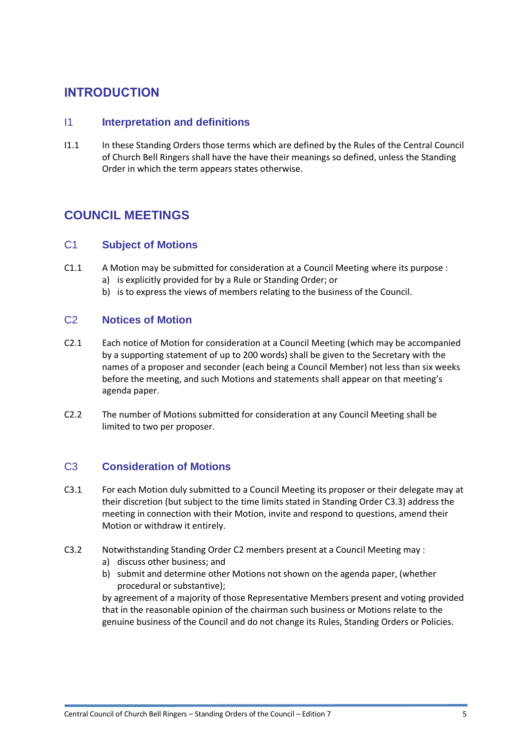## **INTRODUCTION**

### I1 **Interpretation and definitions**

I1.1 In these Standing Orders those terms which are defined by the Rules of the Central Council of Church Bell Ringers shall have the have their meanings so defined, unless the Standing Order in which the term appears states otherwise.

## **COUNCIL MEETINGS**

### C1 **Subject of Motions**

- C1.1 A Motion may be submitted for consideration at a Council Meeting where its purpose : a) is explicitly provided for by a Rule or Standing Order; or
	- b) is to express the views of members relating to the business of the Council.

#### <span id="page-4-0"></span>C2 **Notices of Motion**

- C2.1 Each notice of Motion for consideration at a Council Meeting (which may be accompanied by a supporting statement of up to 200 words) shall be given to the Secretary with the names of a proposer and seconder (each being a Council Member) not less than six weeks before the meeting, and such Motions and statements shall appear on that meeting's agenda paper.
- C2.2 The number of Motions submitted for consideration at any Council Meeting shall be limited to two per proposer.

## C3 **Consideration of Motions**

- C3.1 For each Motion duly submitted to a Council Meeting its proposer or their delegate may at their discretion (but subject to the time limits stated in Standing Order [C3.3\)](#page-5-0) address the meeting in connection with their Motion, invite and respond to questions, amend their Motion or withdraw it entirely.
- C3.2 Notwithstanding Standing Order [C2](#page-4-0) members present at a Council Meeting may :
	- a) discuss other business; and
	- b) submit and determine other Motions not shown on the agenda paper, (whether procedural or substantive);

by agreement of a majority of those Representative Members present and voting provided that in the reasonable opinion of the chairman such business or Motions relate to the genuine business of the Council and do not change its Rules, Standing Orders or Policies.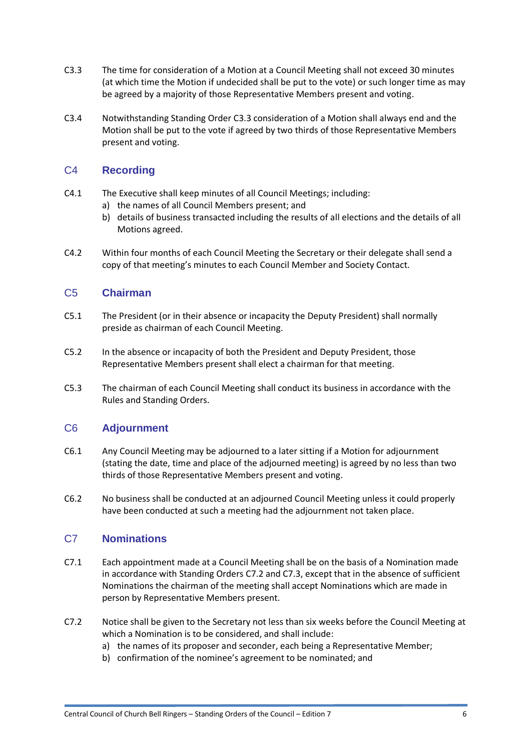- <span id="page-5-0"></span>C3.3 The time for consideration of a Motion at a Council Meeting shall not exceed 30 minutes (at which time the Motion if undecided shall be put to the vote) or such longer time as may be agreed by a majority of those Representative Members present and voting.
- C3.4 Notwithstanding Standing Order [C3.3](#page-5-0) consideration of a Motion shall always end and the Motion shall be put to the vote if agreed by two thirds of those Representative Members present and voting.

## C4 **Recording**

- C4.1 The Executive shall keep minutes of all Council Meetings; including:
	- a) the names of all Council Members present; and
	- b) details of business transacted including the results of all elections and the details of all Motions agreed.
- C4.2 Within four months of each Council Meeting the Secretary or their delegate shall send a copy of that meeting's minutes to each Council Member and Society Contact.

## C5 **Chairman**

- C5.1 The President (or in their absence or incapacity the Deputy President) shall normally preside as chairman of each Council Meeting.
- C5.2 In the absence or incapacity of both the President and Deputy President, those Representative Members present shall elect a chairman for that meeting.
- C5.3 The chairman of each Council Meeting shall conduct its business in accordance with the Rules and Standing Orders.

## C6 **Adjournment**

- C6.1 Any Council Meeting may be adjourned to a later sitting if a Motion for adjournment (stating the date, time and place of the adjourned meeting) is agreed by no less than two thirds of those Representative Members present and voting.
- C6.2 No business shall be conducted at an adjourned Council Meeting unless it could properly have been conducted at such a meeting had the adjournment not taken place.

## C7 **Nominations**

- C7.1 Each appointment made at a Council Meeting shall be on the basis of a Nomination made in accordance with Standing Orders [C7.2](#page-5-1) and [C7.3,](#page-6-0) except that in the absence of sufficient Nominations the chairman of the meeting shall accept Nominations which are made in person by Representative Members present.
- <span id="page-5-1"></span>C7.2 Notice shall be given to the Secretary not less than six weeks before the Council Meeting at which a Nomination is to be considered, and shall include:
	- a) the names of its proposer and seconder, each being a Representative Member;
	- b) confirmation of the nominee's agreement to be nominated; and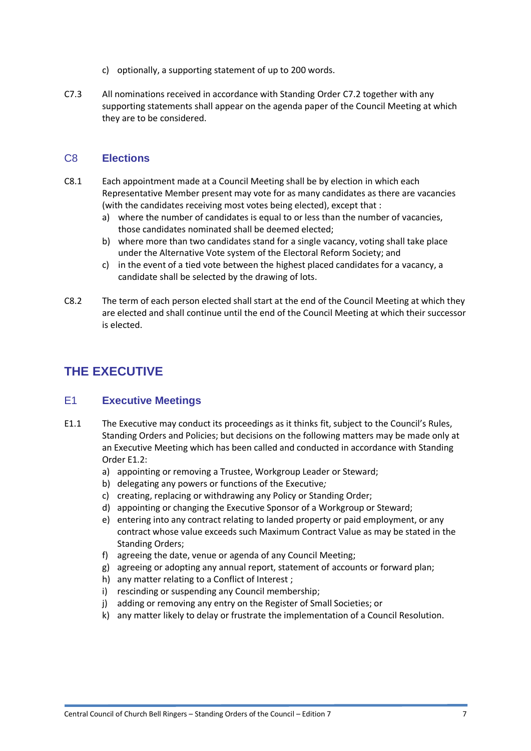- c) optionally, a supporting statement of up to 200 words.
- <span id="page-6-0"></span>C7.3 All nominations received in accordance with Standing Orde[r C7.2](#page-5-1) together with any supporting statements shall appear on the agenda paper of the Council Meeting at which they are to be considered.

### C8 **Elections**

- C8.1 Each appointment made at a Council Meeting shall be by election in which each Representative Member present may vote for as many candidates as there are vacancies (with the candidates receiving most votes being elected), except that :
	- a) where the number of candidates is equal to or less than the number of vacancies, those candidates nominated shall be deemed elected;
	- b) where more than two candidates stand for a single vacancy, voting shall take place under the Alternative Vote system of the Electoral Reform Society; and
	- c) in the event of a tied vote between the highest placed candidates for a vacancy, a candidate shall be selected by the drawing of lots.
- C8.2 The term of each person elected shall start at the end of the Council Meeting at which they are elected and shall continue until the end of the Council Meeting at which their successor is elected.

## **THE EXECUTIVE**

#### E1 **Executive Meetings**

- <span id="page-6-1"></span>E1.1 The Executive may conduct its proceedings as it thinks fit, subject to the Council's Rules, Standing Orders and Policies; but decisions on the following matters may be made only at an Executive Meeting which has been called and conducted in accordance with Standing Order [E1.2:](#page-6-1)
	- a) appointing or removing a Trustee, Workgroup Leader or Steward;
	- b) delegating any powers or functions of the Executive*;*
	- c) creating, replacing or withdrawing any Policy or Standing Order;
	- d) appointing or changing the Executive Sponsor of a Workgroup or Steward;
	- e) entering into any contract relating to landed property or paid employment, or any contract whose value exceeds such Maximum Contract Value as may be stated in the Standing Orders;
	- f) agreeing the date, venue or agenda of any Council Meeting;
	- g) agreeing or adopting any annual report, statement of accounts or forward plan;
	- h) any matter relating to a Conflict of Interest ;
	- i) rescinding or suspending any Council membership;
	- j) adding or removing any entry on the Register of Small Societies; or
	- k) any matter likely to delay or frustrate the implementation of a Council Resolution.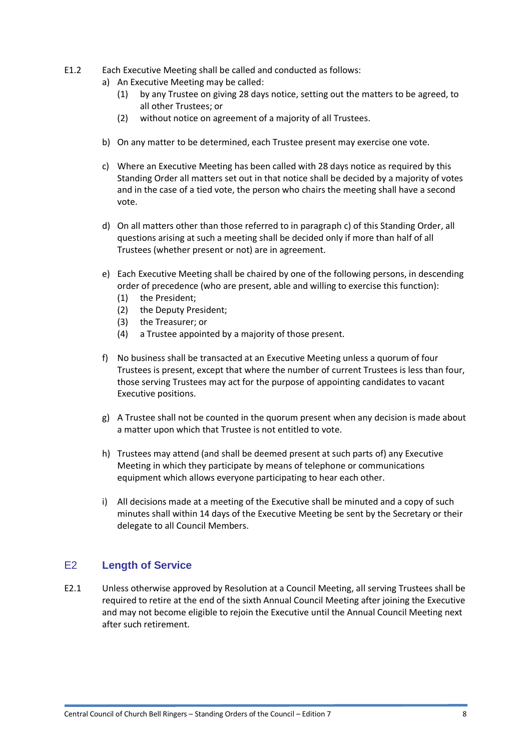- <span id="page-7-0"></span>E1.2 Each Executive Meeting shall be called and conducted as follows:
	- a) An Executive Meeting may be called:
		- (1) by any Trustee on giving 28 days notice, setting out the matters to be agreed, to all other Trustees; or
		- (2) without notice on agreement of a majority of all Trustees.
	- b) On any matter to be determined, each Trustee present may exercise one vote.
	- c) Where an Executive Meeting has been called with 28 days notice as required by this Standing Order all matters set out in that notice shall be decided by a majority of votes and in the case of a tied vote, the person who chairs the meeting shall have a second vote.
	- d) On all matters other than those referred to in paragraph [c\)](#page-7-0) of this Standing Order, all questions arising at such a meeting shall be decided only if more than half of all Trustees (whether present or not) are in agreement.
	- e) Each Executive Meeting shall be chaired by one of the following persons, in descending order of precedence (who are present, able and willing to exercise this function):
		- (1) the President;
		- (2) the Deputy President;
		- (3) the Treasurer; or
		- (4) a Trustee appointed by a majority of those present.
	- f) No business shall be transacted at an Executive Meeting unless a quorum of four Trustees is present, except that where the number of current Trustees is less than four, those serving Trustees may act for the purpose of appointing candidates to vacant Executive positions.
	- g) A Trustee shall not be counted in the quorum present when any decision is made about a matter upon which that Trustee is not entitled to vote.
	- h) Trustees may attend (and shall be deemed present at such parts of) any Executive Meeting in which they participate by means of telephone or communications equipment which allows everyone participating to hear each other.
	- i) All decisions made at a meeting of the Executive shall be minuted and a copy of such minutes shall within 14 days of the Executive Meeting be sent by the Secretary or their delegate to all Council Members.

#### E2 **Length of Service**

E2.1 Unless otherwise approved by Resolution at a Council Meeting, all serving Trustees shall be required to retire at the end of the sixth Annual Council Meeting after joining the Executive and may not become eligible to rejoin the Executive until the Annual Council Meeting next after such retirement.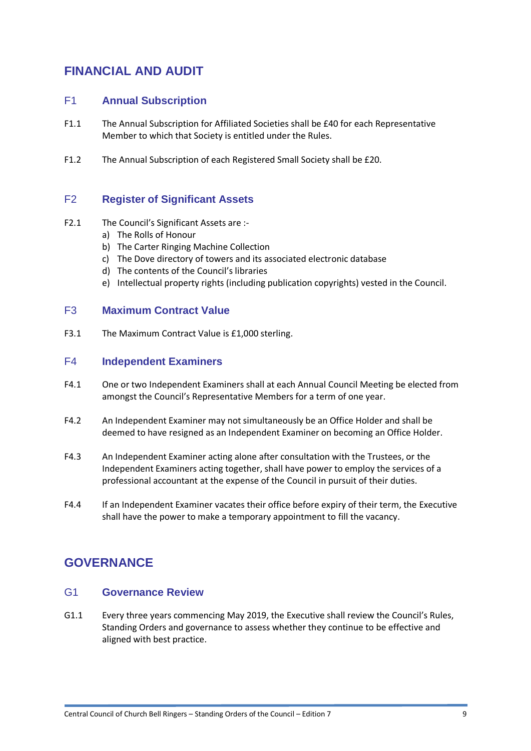## **FINANCIAL AND AUDIT**

## F1 **Annual Subscription**

- F1.1 The Annual Subscription for Affiliated Societies shall be £40 for each Representative Member to which that Society is entitled under the Rules.
- F1.2 The Annual Subscription of each Registered Small Society shall be £20.

### F2 **Register of Significant Assets**

- F2.1 The Council's Significant Assets are :
	- a) The Rolls of Honour
	- b) The Carter Ringing Machine Collection
	- c) The Dove directory of towers and its associated electronic database
	- d) The contents of the Council's libraries
	- e) Intellectual property rights (including publication copyrights) vested in the Council.

#### F3 **Maximum Contract Value**

F3.1 The Maximum Contract Value is £1,000 sterling.

#### F4 **Independent Examiners**

- F4.1 One or two Independent Examiners shall at each Annual Council Meeting be elected from amongst the Council's Representative Members for a term of one year.
- F4.2 An Independent Examiner may not simultaneously be an Office Holder and shall be deemed to have resigned as an Independent Examiner on becoming an Office Holder.
- F4.3 An Independent Examiner acting alone after consultation with the Trustees, or the Independent Examiners acting together, shall have power to employ the services of a professional accountant at the expense of the Council in pursuit of their duties.
- F4.4 If an Independent Examiner vacates their office before expiry of their term, the Executive shall have the power to make a temporary appointment to fill the vacancy.

## **GOVERNANCE**

#### G1 **Governance Review**

G1.1 Every three years commencing May 2019, the Executive shall review the Council's Rules, Standing Orders and governance to assess whether they continue to be effective and aligned with best practice.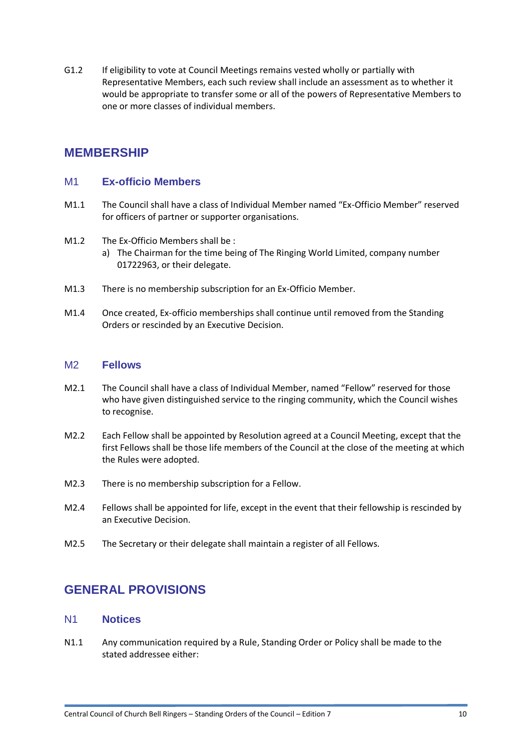G1.2 If eligibility to vote at Council Meetings remains vested wholly or partially with Representative Members, each such review shall include an assessment as to whether it would be appropriate to transfer some or all of the powers of Representative Members to one or more classes of individual members.

## **MEMBERSHIP**

#### M1 **Ex-officio Members**

- M1.1 The Council shall have a class of Individual Member named "Ex-Officio Member" reserved for officers of partner or supporter organisations.
- M1.2 The Ex-Officio Members shall be :
	- a) The Chairman for the time being of The Ringing World Limited, company number 01722963, or their delegate.
- M1.3 There is no membership subscription for an Ex-Officio Member.
- M1.4 Once created, Ex-officio memberships shall continue until removed from the Standing Orders or rescinded by an Executive Decision.

#### M2 **Fellows**

- M2.1 The Council shall have a class of Individual Member, named "Fellow" reserved for those who have given distinguished service to the ringing community, which the Council wishes to recognise.
- M2.2 Each Fellow shall be appointed by Resolution agreed at a Council Meeting, except that the first Fellows shall be those life members of the Council at the close of the meeting at which the Rules were adopted.
- M2.3 There is no membership subscription for a Fellow.
- M2.4 Fellows shall be appointed for life, except in the event that their fellowship is rescinded by an Executive Decision.
- M2.5 The Secretary or their delegate shall maintain a register of all Fellows.

## **GENERAL PROVISIONS**

#### N1 **Notices**

<span id="page-9-0"></span>N1.1 Any communication required by a Rule, Standing Order or Policy shall be made to the stated addressee either: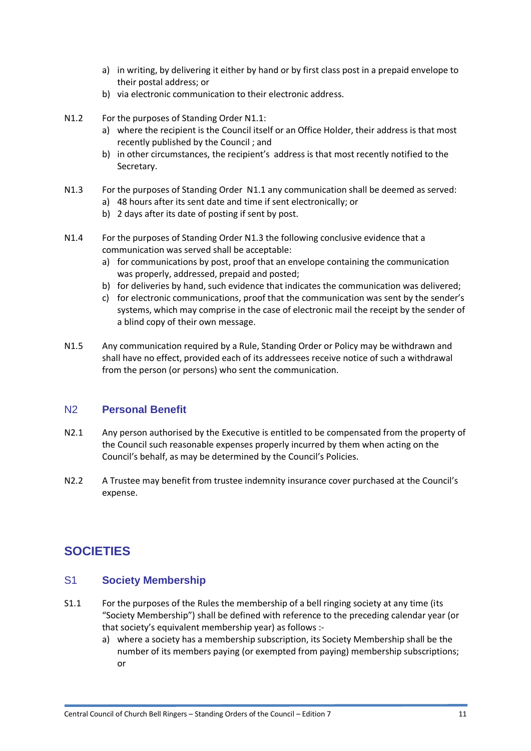- a) in writing, by delivering it either by hand or by first class post in a prepaid envelope to their postal address; or
- b) via electronic communication to their electronic address.
- N1.2 For the purposes of Standing Order [N1.1:](#page-9-0)
	- a) where the recipient is the Council itself or an Office Holder, their address is that most recently published by the Council ; and
	- b) in other circumstances, the recipient's address is that most recently notified to the Secretary.
- <span id="page-10-0"></span>N1.3 For the purposes of Standing Order [N1.1](#page-9-0) any communication shall be deemed as served: a) 48 hours after its sent date and time if sent electronically; or
	- b) 2 days after its date of posting if sent by post.
- N1.4 For the purposes of Standing Order [N1.3](#page-10-0) the following conclusive evidence that a communication was served shall be acceptable:
	- a) for communications by post, proof that an envelope containing the communication was properly, addressed, prepaid and posted;
	- b) for deliveries by hand, such evidence that indicates the communication was delivered;
	- c) for electronic communications, proof that the communication was sent by the sender's systems, which may comprise in the case of electronic mail the receipt by the sender of a blind copy of their own message.
- N1.5 Any communication required by a Rule, Standing Order or Policy may be withdrawn and shall have no effect, provided each of its addressees receive notice of such a withdrawal from the person (or persons) who sent the communication.

#### N2 **Personal Benefit**

- N2.1 Any person authorised by the Executive is entitled to be compensated from the property of the Council such reasonable expenses properly incurred by them when acting on the Council's behalf, as may be determined by the Council's Policies.
- N2.2 A Trustee may benefit from trustee indemnity insurance cover purchased at the Council's expense.

## **SOCIETIES**

#### S1 **Society Membership**

- S1.1 For the purposes of the Rules the membership of a bell ringing society at any time (its "Society Membership") shall be defined with reference to the preceding calendar year (or that society's equivalent membership year) as follows :
	- a) where a society has a membership subscription, its Society Membership shall be the number of its members paying (or exempted from paying) membership subscriptions; or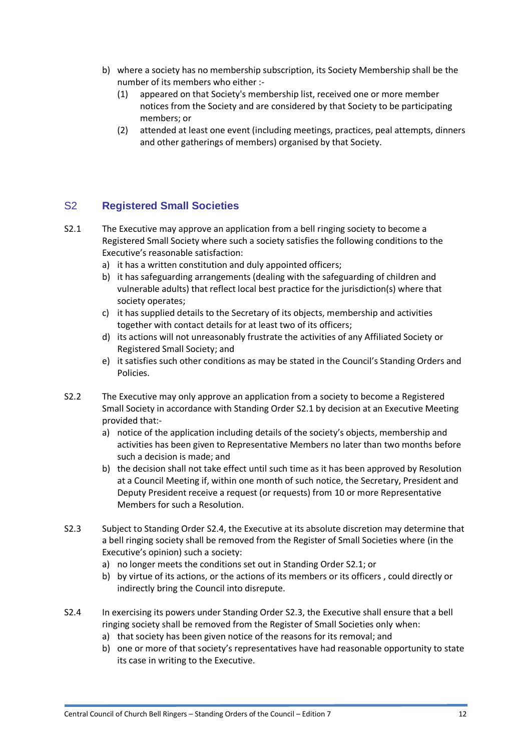- b) where a society has no membership subscription, its Society Membership shall be the number of its members who either :-
	- (1) appeared on that Society's membership list, received one or more member notices from the Society and are considered by that Society to be participating members; or
	- (2) attended at least one event (including meetings, practices, peal attempts, dinners and other gatherings of members) organised by that Society.

## S2 **Registered Small Societies**

- <span id="page-11-0"></span>S2.1 The Executive may approve an application from a bell ringing society to become a Registered Small Society where such a society satisfies the following conditions to the Executive's reasonable satisfaction:
	- a) it has a written constitution and duly appointed officers;
	- b) it has safeguarding arrangements (dealing with the safeguarding of children and vulnerable adults) that reflect local best practice for the jurisdiction(s) where that society operates;
	- c) it has supplied details to the Secretary of its objects, membership and activities together with contact details for at least two of its officers;
	- d) its actions will not unreasonably frustrate the activities of any Affiliated Society or Registered Small Society; and
	- e) it satisfies such other conditions as may be stated in the Council's Standing Orders and Policies.
- S2.2 The Executive may only approve an application from a society to become a Registered Small Society in accordance with Standing Order [S2.1](#page-11-0) by decision at an Executive Meeting provided that:
	- a) notice of the application including details of the society's objects, membership and activities has been given to Representative Members no later than two months before such a decision is made; and
	- b) the decision shall not take effect until such time as it has been approved by Resolution at a Council Meeting if, within one month of such notice, the Secretary, President and Deputy President receive a request (or requests) from 10 or more Representative Members for such a Resolution.
- <span id="page-11-1"></span>S2.3 Subject to Standing Order S2.4, the Executive at its absolute discretion may determine that a bell ringing society shall be removed from the Register of Small Societies where (in the Executive's opinion) such a society:
	- a) no longer meets the conditions set out in Standing Order [S2.1;](#page-11-0) or
	- b) by virtue of its actions, or the actions of its members or its officers , could directly or indirectly bring the Council into disrepute.
- S2.4 In exercising its powers under Standing Order [S2.3,](#page-11-1) the Executive shall ensure that a bell ringing society shall be removed from the Register of Small Societies only when:
	- a) that society has been given notice of the reasons for its removal; and
	- b) one or more of that society's representatives have had reasonable opportunity to state its case in writing to the Executive.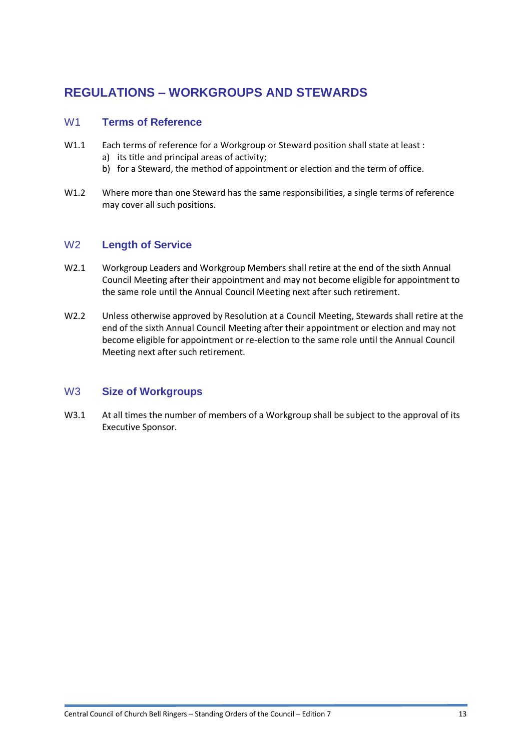## **REGULATIONS – WORKGROUPS AND STEWARDS**

### W1 **Terms of Reference**

- W1.1 Each terms of reference for a Workgroup or Steward position shall state at least :
	- a) its title and principal areas of activity;
	- b) for a Steward, the method of appointment or election and the term of office.
- W1.2 Where more than one Steward has the same responsibilities, a single terms of reference may cover all such positions.

### W2 **Length of Service**

- W2.1 Workgroup Leaders and Workgroup Members shall retire at the end of the sixth Annual Council Meeting after their appointment and may not become eligible for appointment to the same role until the Annual Council Meeting next after such retirement.
- W2.2 Unless otherwise approved by Resolution at a Council Meeting, Stewards shall retire at the end of the sixth Annual Council Meeting after their appointment or election and may not become eligible for appointment or re-election to the same role until the Annual Council Meeting next after such retirement.

#### W3 **Size of Workgroups**

W3.1 At all times the number of members of a Workgroup shall be subject to the approval of its Executive Sponsor.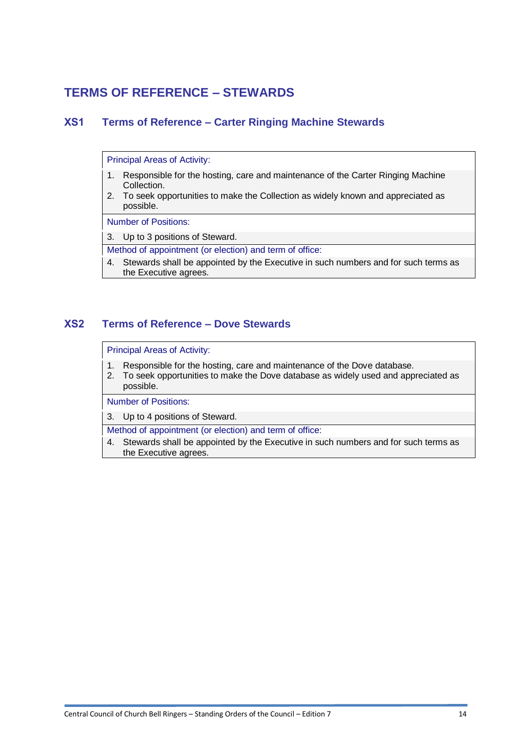## **TERMS OF REFERENCE – STEWARDS**

## **XS1 Terms of Reference – Carter Ringing Machine Stewards**

Principal Areas of Activity:

- 1. Responsible for the hosting, care and maintenance of the Carter Ringing Machine Collection.
- 2. To seek opportunities to make the Collection as widely known and appreciated as possible.

Number of Positions:

3. Up to 3 positions of Steward.

Method of appointment (or election) and term of office:

4. Stewards shall be appointed by the Executive in such numbers and for such terms as the Executive agrees.

#### **XS2 Terms of Reference – Dove Stewards**

Principal Areas of Activity:

- 1. Responsible for the hosting, care and maintenance of the Dove database.
- 2. To seek opportunities to make the Dove database as widely used and appreciated as possible.

Number of Positions:

3. Up to 4 positions of Steward.

Method of appointment (or election) and term of office:

4. Stewards shall be appointed by the Executive in such numbers and for such terms as the Executive agrees.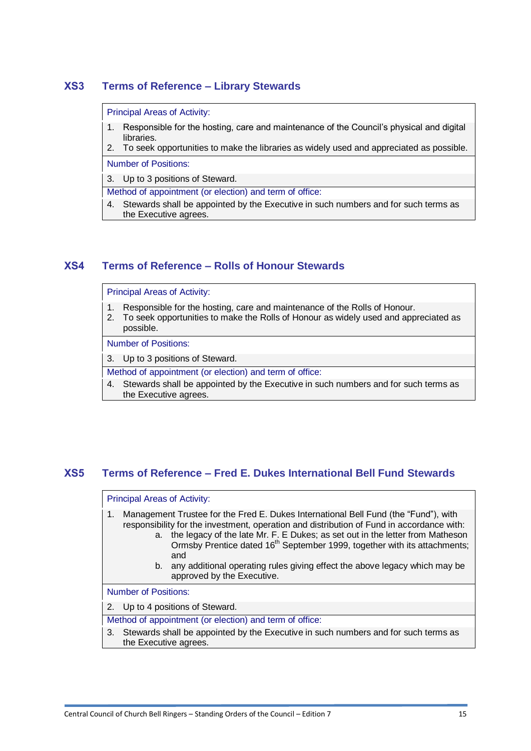## **XS3 Terms of Reference – Library Stewards**

#### Principal Areas of Activity:

- 1. Responsible for the hosting, care and maintenance of the Council's physical and digital libraries.
- 2. To seek opportunities to make the libraries as widely used and appreciated as possible.

Number of Positions:

3. Up to 3 positions of Steward.

Method of appointment (or election) and term of office:

4. Stewards shall be appointed by the Executive in such numbers and for such terms as the Executive agrees.

### **XS4 Terms of Reference – Rolls of Honour Stewards**

Principal Areas of Activity:

- 1. Responsible for the hosting, care and maintenance of the Rolls of Honour.
- 2. To seek opportunities to make the Rolls of Honour as widely used and appreciated as possible.

Number of Positions:

3. Up to 3 positions of Steward.

- Method of appointment (or election) and term of office:
- 4. Stewards shall be appointed by the Executive in such numbers and for such terms as the Executive agrees.

## **XS5 Terms of Reference – Fred E. Dukes International Bell Fund Stewards**

#### Principal Areas of Activity:

- 1. Management Trustee for the Fred E. Dukes International Bell Fund (the "Fund"), with responsibility for the investment, operation and distribution of Fund in accordance with:
	- a. the legacy of the late Mr. F. E Dukes; as set out in the letter from Matheson Ormsby Prentice dated 16<sup>th</sup> September 1999, together with its attachments; and
	- b. any additional operating rules giving effect the above legacy which may be approved by the Executive.

Number of Positions:

2. Up to 4 positions of Steward.

Method of appointment (or election) and term of office:

3. Stewards shall be appointed by the Executive in such numbers and for such terms as the Executive agrees.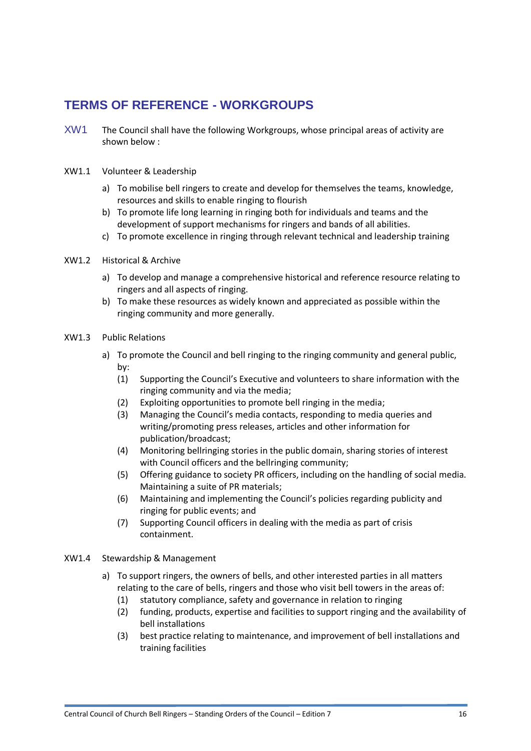## **TERMS OF REFERENCE - WORKGROUPS**

XW1 The Council shall have the following Workgroups, whose principal areas of activity are shown below :

#### XW1.1 Volunteer & Leadership

- a) To mobilise bell ringers to create and develop for themselves the teams, knowledge, resources and skills to enable ringing to flourish
- b) To promote life long learning in ringing both for individuals and teams and the development of support mechanisms for ringers and bands of all abilities.
- c) To promote excellence in ringing through relevant technical and leadership training
- XW1.2 Historical & Archive
	- a) To develop and manage a comprehensive historical and reference resource relating to ringers and all aspects of ringing.
	- b) To make these resources as widely known and appreciated as possible within the ringing community and more generally.
- XW1.3 Public Relations
	- a) To promote the Council and bell ringing to the ringing community and general public, by:
		- (1) Supporting the Council's Executive and volunteers to share information with the ringing community and via the media;
		- (2) Exploiting opportunities to promote bell ringing in the media;
		- (3) Managing the Council's media contacts, responding to media queries and writing/promoting press releases, articles and other information for publication/broadcast;
		- (4) Monitoring bellringing stories in the public domain, sharing stories of interest with Council officers and the bellringing community;
		- (5) Offering guidance to society PR officers, including on the handling of social media. Maintaining a suite of PR materials;
		- (6) Maintaining and implementing the Council's policies regarding publicity and ringing for public events; and
		- (7) Supporting Council officers in dealing with the media as part of crisis containment.
- XW1.4 Stewardship & Management
	- a) To support ringers, the owners of bells, and other interested parties in all matters relating to the care of bells, ringers and those who visit bell towers in the areas of:
		- (1) statutory compliance, safety and governance in relation to ringing
		- (2) funding, products, expertise and facilities to support ringing and the availability of bell installations
		- (3) best practice relating to maintenance, and improvement of bell installations and training facilities